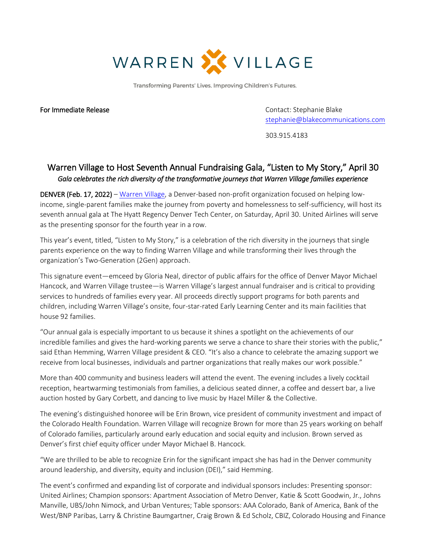

Transforming Parents' Lives. Improving Children's Futures.

For Immediate Release **Contact: Stephanie Blake** Contact: Stephanie Blake [stephanie@blakecommunications.com](mailto:stephanie@blakecommunications.com)

303.915.4183

## Warren Village to Host Seventh Annual Fundraising Gala, "Listen to My Story," April 30 *Gala celebrates the rich diversity of the transformative journeys that Warren Village families experience*

DENVER (Feb. 17, 2022) – [Warren Village,](https://warrenvillage.org/) a Denver-based non-profit organization focused on helping lowincome, single-parent families make the journey from poverty and homelessness to self-sufficiency, will host its seventh annual gala at The Hyatt Regency Denver Tech Center, on Saturday, April 30. United Airlines will serve as the presenting sponsor for the fourth year in a row.

This year's event, titled, "Listen to My Story," is a celebration of the rich diversity in the journeys that single parents experience on the way to finding Warren Village and while transforming their lives through the organization's Two-Generation (2Gen) approach.

This signature event—emceed by Gloria Neal, director of public affairs for the office of Denver Mayor Michael Hancock, and Warren Village trustee—is Warren Village's largest annual fundraiser and is critical to providing services to hundreds of families every year. All proceeds directly support programs for both parents and children, including Warren Village's onsite, four-star-rated Early Learning Center and its main facilities that house 92 families.

"Our annual gala is especially important to us because it shines a spotlight on the achievements of our incredible families and gives the hard-working parents we serve a chance to share their stories with the public," said Ethan Hemming, Warren Village president & CEO. "It's also a chance to celebrate the amazing support we receive from local businesses, individuals and partner organizations that really makes our work possible."

More than 400 community and business leaders will attend the event. The evening includes a lively cocktail reception, heartwarming testimonials from families, a delicious seated dinner, a coffee and dessert bar, a live auction hosted by Gary Corbett, and dancing to live music by Hazel Miller & the Collective.

The evening's distinguished honoree will be Erin Brown, vice president of community investment and impact of the Colorado Health Foundation. Warren Village will recognize Brown for more than 25 years working on behalf of Colorado families, particularly around early education and social equity and inclusion. Brown served as Denver's first chief equity officer under Mayor Michael B. Hancock.

"We are thrilled to be able to recognize Erin for the significant impact she has had in the Denver community around leadership, and diversity, equity and inclusion (DEI)," said Hemming.

The event's confirmed and expanding list of corporate and individual sponsors includes: Presenting sponsor: United Airlines; Champion sponsors: Apartment Association of Metro Denver, Katie & Scott Goodwin, Jr., Johns Manville, UBS/John Nimock, and Urban Ventures; Table sponsors: AAA Colorado, Bank of America, Bank of the West/BNP Paribas, Larry & Christine Baumgartner, Craig Brown & Ed Scholz, CBIZ, Colorado Housing and Finance